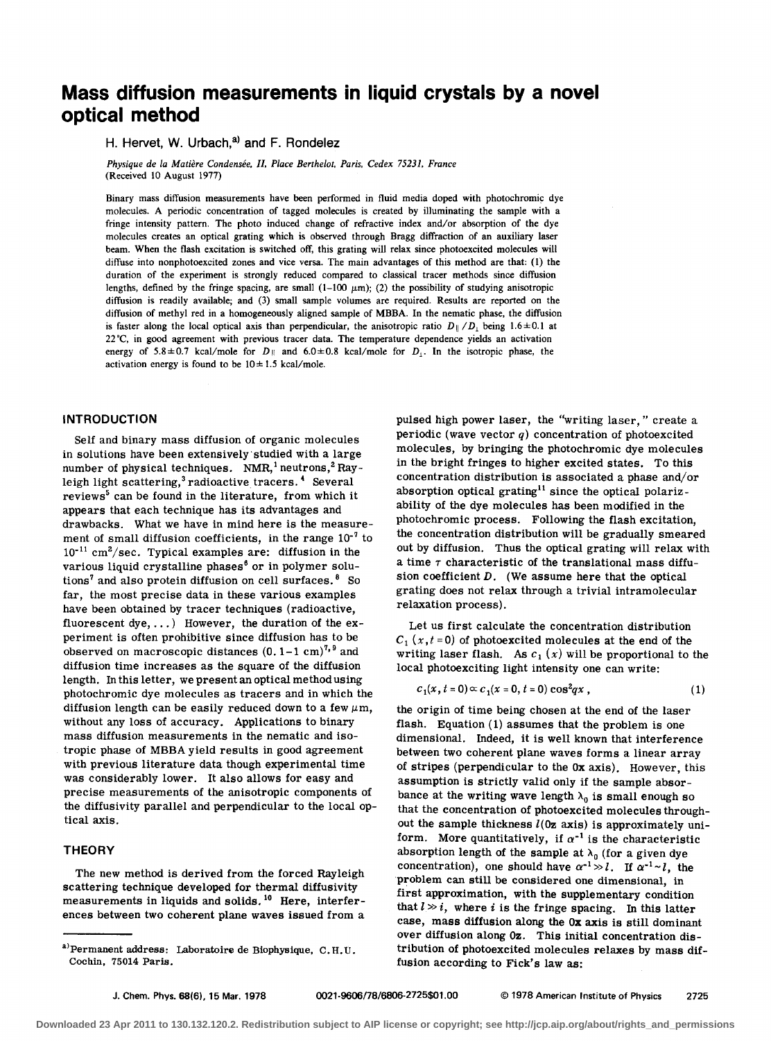# **Mass diffusion measurements in liquid crystals by a novel optical method**

# H. Hervet, W. Urbach,<sup>a)</sup> and F. Rondelez

*Physique de la Matiere Condensee.* II. *Place Berthelot. Paris. Cedex* 75231. *France*  (Received \0 August 1977)

Binary mass diffusion measurements have been performed in fluid media doped with photochromic dye molecules. A periodic concentration of tagged molecules is created by illuminating the sample with a fringe intensity pattern. The photo induced change of refractive index and/or absorption of the dye molecules creates an optical grating which is observed through Bragg diffraction of an auxiliary laser beam. When the flash excitation is switched off. this grating will relax since photoexcited molecules will diffuse into nonphotoexcited zones and vice versa. The main advantages of this method are that: (1) the duration of the experiment is strongly reduced compared to classical tracer methods since diffusion lengths. defined by the fringe spacing, are small  $(1-100 \mu m)$ ; (2) the possibility of studying anisotropic diffusion is readily available; and (3) small sample volumes are required. Results are reported on the diffusion of methyl red in a homogeneously aligned sample of MBBA. In the nematic phase. the diffusion is faster along the local optical axis than perpendicular, the anisotropic ratio  $D_{\parallel}/D_{\perp}$  being 1.6 ± 0.1 at 22 "C. in good agreement with previous tracer data. The temperature dependence yields an activation energy of 5.8±0.7 kcal/mole for  $D_{\parallel}$  and 6.0±0.8 kcal/mole for  $D_{\perp}$ . In the isotropic phase, the activation energy is found to be  $10 \pm 1.5$  kcal/mole.

# **INTRODUCTION**

Self and binary mass diffusion of organic molecules in solutions have been extensively 'studied with a large number of physical techniques. NMR,<sup>1</sup> neutrons,<sup>2</sup> Rayleigh light scattering,<sup>3</sup> radioactive tracers.<sup>4</sup> Several reviews<sup>5</sup> can be found in the literature, from which it appears that each technique has its advantages and drawbacks. What we have in mind here is the measurement of small diffusion coefficients, in the range  $10^{-7}$  to  $10^{-11}$  cm<sup>2</sup>/sec. Typical examples are: diffusion in the various liquid crystalline phases<sup> $6$ </sup> or in polymer solutions<sup>7</sup> and also protein diffusion on cell surfaces.  $8\,$  So far, the most precise data in these various examples have been obtained by tracer techniques (radioactive, fluorescent dye, ... ) However, the duration of the experiment is often prohibitive since diffusion has to be observed on macroscopic distances  $(0.1-1 \text{ cm})^{7.9}$  and diffusion time increases as the square of the diffusion length. In this letter, we present an optical method using photochromic dye molecules as tracers and in which the diffusion length can be easily reduced down to a few  $\mu$ m, without any loss of accuracy. Applications to binary mass diffusion measurements in the nematic and isotropic phase of MBBA yield results in good agreement with previous literature data though experimental time was considerably lower. It also allows for easy and precise measurements of the anisotropic components of the diffusivity parallel and perpendicular to the local optical axis.

#### **THEORY**

The new method is derived from the forced Rayleigh scattering technique developed for thermal diffusivity measurements in liquids and solids.<sup>10</sup> Here, interferences between two coherent plane waves issued from a pulsed high power laser, the "writing laser," create a periodic (wave vector  $q$ ) concentration of photoexcited molecules, by bringing the photochromic dye molecules in the bright fringes to higher excited states. To this concentration distribution is associated a phase and/or absorption optical grating<sup>11</sup> since the optical polarizability of the dye molecules has been modified in the photochromic process. Following the flash excitation, the concentration distribution will be gradually smeared out by diffusion. Thus the optical grating will relax with a time  $\tau$  characteristic of the translational mass diffusion coefficient  $D$ . (We assume here that the optical grating does not relax through a trivial intramolecular relaxation process).

Let us first calculate the concentration distribution  $C_1$  (x, t = 0) of photoexcited molecules at the end of the writing laser flash. As  $c_1(x)$  will be proportional to the local photoexciting light intensity one can write:

$$
c_1(x, t = 0) \propto c_1(x = 0, t = 0) \cos^2 q x , \qquad (1)
$$

the origin of time being chosen at the end of the laser flash. Equation (1) assumes that the problem is one dimensional. Indeed, it is well known that interference between two coherent plane waves forms a linear array of stripes (perpendicular to the Ox axis). However, this assumption is strictly valid only if the sample absorbance at the writing wave length  $\lambda_0$  is small enough so that the concentration of photoexcited molecules throughout the sample thickness  $l$ (0z axis) is approximately uniform. More quantitatively, if  $\alpha^{-1}$  is the characteristic absorption length of the sample at  $\lambda_0$  (for a given dye concentration), one should have  $\alpha^{-1} \gg l$ . If  $\alpha^{-1} \sim l$ , the problem can still be considered one dimensional, in first approximation, with the supplementary condition that  $l \gg i$ , where i is the fringe spacing. In this latter case, mass diffusion along the Ox axis is still dominant over diffusion along Oz. This initial concentration distribution of photoexcited molecules relaxes by mass diffusion according to Fick's law as:

a) Permanent address: Laboratoire de Biophysique, C. H. U. Cochin, 75014 Paris.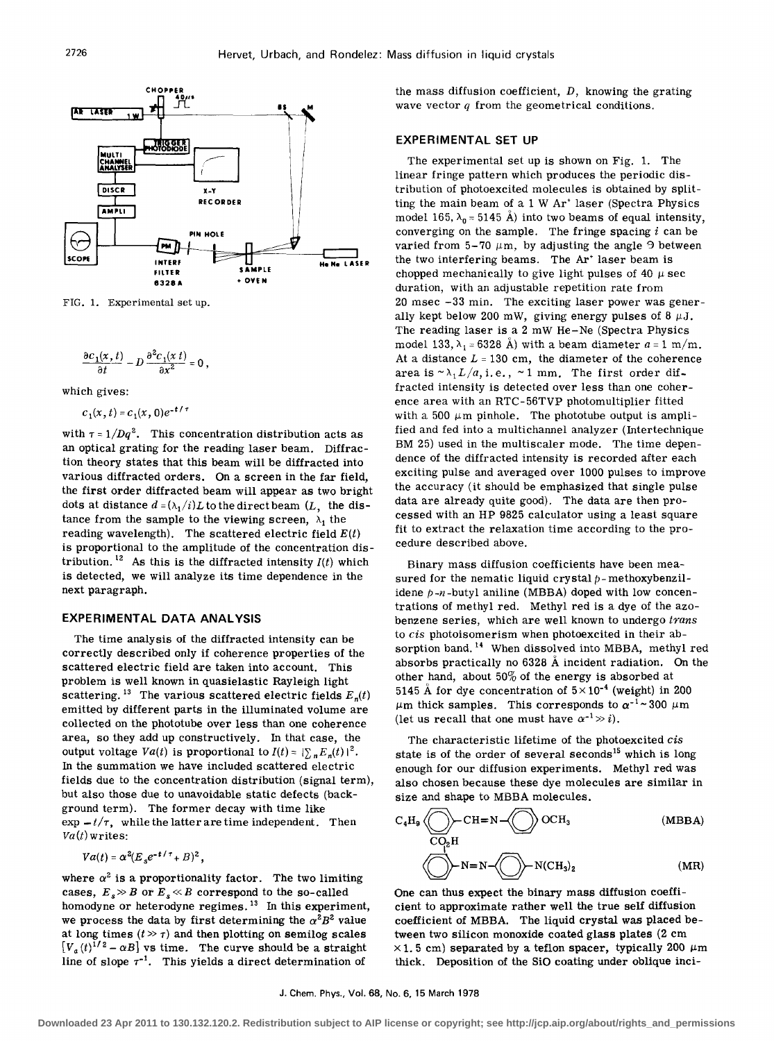

FIG. 1. Experimental set up.

$$
\frac{\partial c_1(x,t)}{\partial t} - D \frac{\partial^2 c_1(x,t)}{\partial x^2} = 0
$$

which gives:

$$
c_1(x, t) = c_1(x, 0)e^{-t/\tau}
$$

with  $\tau = 1/Dq^2$ . This concentration distribution acts as an optical grating for the reading laser beam. Diffraction theory states that this beam will be diffracted into various diffracted orders. On a screen in the far field, the first order diffracted beam will appear as two bright dots at distance  $d = (\lambda_1/i)L$  to the direct beam  $(L, \text{ the dis-}$ tance from the sample to the viewing screen,  $\lambda_1$  the reading wavelength). The scattered electric field  $E(t)$ is proportional to the amplitude of the concentration distribution.<sup>12</sup> As this is the diffracted intensity  $I(t)$  which is detected, we will analyze its time dependence in the next paragraph.

## **EXPERIMENTAL DATA ANALYSIS**

The time analysis of the diffracted intensity can be correctly described only if coherence properties of the scattered electric field are taken into account. This problem is well known in quasielastic Rayleigh light scattering.<sup>13</sup> The various scattered electric fields  $E_n(t)$ emitted by different parts in the illuminated volume are collected on the phototube over less than one coherence area, so they add up constructively. In that case, the output voltage  $Va(t)$  is proportional to  $I(t) = |\sum_{n} E_n(t)|^2$ . In the summation we have included scattered electric fields due to the concentration distribution (signal term), but also those due to unavoidable static defects (background term). The former decay with time like  $\exp -t/\tau$ , while the latter are time independent. Then  $Va(t)$  writes:

 $Va(t) = \alpha^2 (E_e e^{-t/\tau} + B)^2$ .

where  $\alpha^2$  is a proportionality factor. The two limiting cases,  $E_s \gg B$  or  $E_s \ll B$  correspond to the so-called homodyne or heterodyne regimes.<sup>13</sup> In this experiment, we process the data by first determining the  $\alpha^2 B^2$  value at long times  $(t \gg \tau)$  and then plotting on semilog scales  $[V_a(t)]^{1/2} - \alpha B$  vs time. The curve should be a straight line of slope  $\tau^{-1}$ . This yields a direct determination of

the mass diffusion coefficient,  $D$ , knowing the grating wave vector *q* from the geometrical conditions.

#### **EXPERIMENTAL SET UP**

The experimental set up is shown on Fig. 1. The linear fringe pattern which produces the periodic distribution of photoexcited molecules is obtained by splitting the main beam of a 1 W Ar<sup>+</sup> laser (Spectra Physics model 165,  $\lambda_0 = 5145$  Å) into two beams of equal intensity, converging on the sample. The fringe spacing *i* can be varied from 5-70  $\mu$ m, by adjusting the angle 9 between the two interfering beams. The Ar<sup>+</sup> laser beam is chopped mechanically to give light pulses of 40  $\mu$  sec duration, with an adjustable repetition rate from 20 msec -33 min. The exciting laser power was generally kept below 200 mW, giving energy pulses of 8  $\mu$ J. The reading laser is a 2 mW He-Ne (Spectra Physics model 133,  $\lambda_1 = 6328$  Å) with a beam diameter  $a = 1$  m/m. At a distance  $L = 130$  cm, the diameter of the coherence area is  $\sim \lambda_1 L/a$ , i.e.,  $\sim 1$  mm. The first order diffracted intensity is detected over less than one coherence area with an RTC-56TVP photomultiplier fitted with a 500  $\mu$ m pinhole. The phototube output is amplified and fed into a multichannel analyzer (Intertechnique BM 25) used in the multiscaler mode. The time dependence of the diffracted intensity is recorded after each exciting pulse and averaged over 1000 pulses to improve the accuracy (it should be emphasized that single pulse data are already quite good). The data are then processed with an HP 9825 calculator using a least square fit to extract the relaxation time according to the procedure described above.

Binary mass diffusion coefficients have been measured for the nematic liquid crystal  $p$ -methoxybenzilidene *p -n* -butyl aniline (MBBA) doped with low concentrations of methyl red. Methyl red is a dye of the azobenzene series, which are well known to undergo trans to cis photoisomerism when photoexcited in their absorption band.<sup>14</sup> When dissolved into MBBA, methyl red absorbs practically no 6328 A incident radiation. On the other hand, about 50% of the energy is absorbed at 5145 Å for dye concentration of  $5 \times 10^{-4}$  (weight) in 200  $\mu$ m thick samples. This corresponds to  $\alpha^{-1}$  ~ 300  $\mu$ m (let us recall that one must have  $\alpha^{-1} \gg i$ ).

The characteristic lifetime of the photoexcited cis state is of the order of several seconds<sup>15</sup> which is long enough for our diffusion experiments. Methyl red was also chosen because these dye molecules are similar in

size and shape to MBBA molecules.  
\n
$$
C_4H_9 \bigotimes C_2H
$$
 CCH=N $\bigotimes C_3H$  (MBBA)  
\n $N = N \bigotimes N(CH_3)_2$  (MR)

One can thus expect the binary mass diffusion coefficient to approximate rather well the true self diffusion coefficient of MBBA. The liquid crystal was placed between two silicon monoxide coated glass plates (2 cm  $\times$ 1.5 cm) separated by a teflon spacer, typically 200  $\mu$ m thick. Deposition of the SiO coating under oblique inci-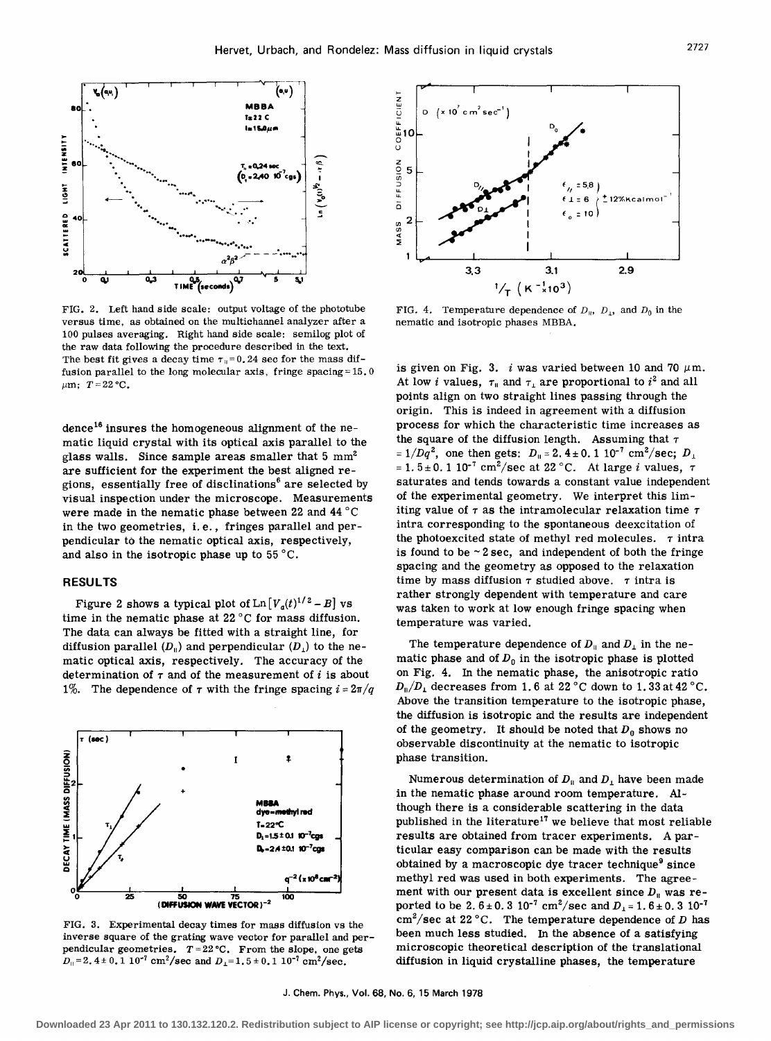

FIG. 2. Left hand side scale: output voltage of the phototube versus time, as obtained on the multichannel analyzer after a 100 pulses averaging. Right hand side scale: semilog plot of the raw data following the procedure described in the text. The best fit gives a decay time  $\tau_n=0.24$  sec for the mass diffusion parallel to the long molecular axis, fringe spacing = 15. 0  $\mu$ m;  $T = 22 °C$ .

dence<sup>16</sup> insures the homogeneous alignment of the nematic liquid crystal with its optical axis parallel to the glass walls. Since sample areas smaller that  $5 \text{ mm}^2$ are sufficient for the experiment the best aligned regions, essentially free of disclinations<sup>6</sup> are selected by visual inspection under the microscope. Measurements were made in the nematic phase between 22 and 44 °C in the two geometries, i. e., fringes parallel and perpendicular to the nematic optical axis, respectively, and also in the isotropic phase up to 55°C.

# RESULTS

Figure 2 shows a typical plot of  $\text{Ln}[V_a(t)^{1/2}-B]$  vs time in the nematic phase at 22 °C for mass diffusion. The data can always be fitted with a straight line, for diffusion parallel  $(D_{\rm II})$  and perpendicular  $(D_{\rm I})$  to the nematic optical axis, respectively. The accuracy of the determination of  $\tau$  and of the measurement of i is about 1%. The dependence of  $\tau$  with the fringe spacing  $i = 2\pi/q$ 



FIG. 3. Experimental decay times for mass diffusion vs the inverse square of the grating wave vector for parallel and perpendicular geometries.  $T = 22$  °C. From the slope, one gets  $D_{\parallel} = 2.4 \pm 0.1 \, 10^{-7} \, \text{cm}^2/\text{sec}$  and  $D_{\perp} = 1.5 \pm 0.1 \, 10^{-7} \, \text{cm}^2/\text{sec}$ .



FIG. 4. Temperature dependence of  $D_{\mu}$ ,  $D_{\mu}$ , and  $D_0$  in the nematic and isotropic phases MBBA.

is given on Fig. 3. i was varied between 10 and 70  $\mu$ m. At low *i* values,  $\tau_{\parallel}$  and  $\tau_{\perp}$  are proportional to  $i^2$  and all points align on two straight lines passing through the origin. This is indeed in agreement with a diffusion process for which the characteristic time increases as the square of the diffusion length. Assuming that  $\tau$  $= 1/Dq^2$ , one then gets:  $D_{\rm II} = 2.4 \pm 0.1 10^{-7} \text{ cm}^2/\text{sec}; D_{\rm II}$  $= 1.5 \pm 0.110^{-7}$  cm<sup>2</sup>/sec at 22 °C. At large *i* values,  $\tau$ saturates and tends towards a constant value independent of the experimental geometry. We interpret this limiting value of  $\tau$  as the intramolecular relaxation time  $\tau$ intra corresponding to the spontaneous deexcitation of the photoexcited state of methyl red molecules.  $\tau$  intra is found to be  $\sim$  2 sec, and independent of both the fringe spacing and the geometry as opposed to the relaxation time by mass diffusion  $\tau$  studied above.  $\tau$  intra is rather strongly dependent with temperature and care was taken to work at low enough fringe spacing when temperature was varied.

The temperature dependence of  $D_{\parallel}$  and  $D_{\perp}$  in the nematic phase and of  $D_0$  in the isotropic phase is plotted on Fig. 4. In the nematic phase, the anisotropic ratio  $D_{\parallel}/D_{\perp}$  decreases from 1.6 at 22 °C down to 1.33 at 42 °C. Above the transition temperature to the isotropic phase, the diffusion is isotropic and the results are independent of the geometry. It should be noted that  $D_0$  shows no observable discontinuity at the nematic to isotropic phase transition.

Numerous determination of  $D_{\parallel}$  and  $D_{\perp}$  have been made in the nematic phase around room temperature. Although there is a considerable scattering in the data published in the literature<sup>17</sup> we believe that most reliable results are obtained from tracer experiments. A particular easy comparison can be made with the results obtained by a macroscopic dye tracer technique<sup>9</sup> since methyl red was used in both experiments. The agreement with our present data is excellent since  $D_{\parallel}$  was reported to be 2.6 $\pm$  0.3 10<sup>-7</sup> cm<sup>2</sup>/sec and  $D_1 = 1.6 \pm 0.3$  10<sup>-7</sup>  $\text{cm}^2/\text{sec}$  at 22 °C. The temperature dependence of D has been much less studied. In the absence of a satisfying microscopic theoretical description of the translational diffusion in liquid crystalline phases, the temperature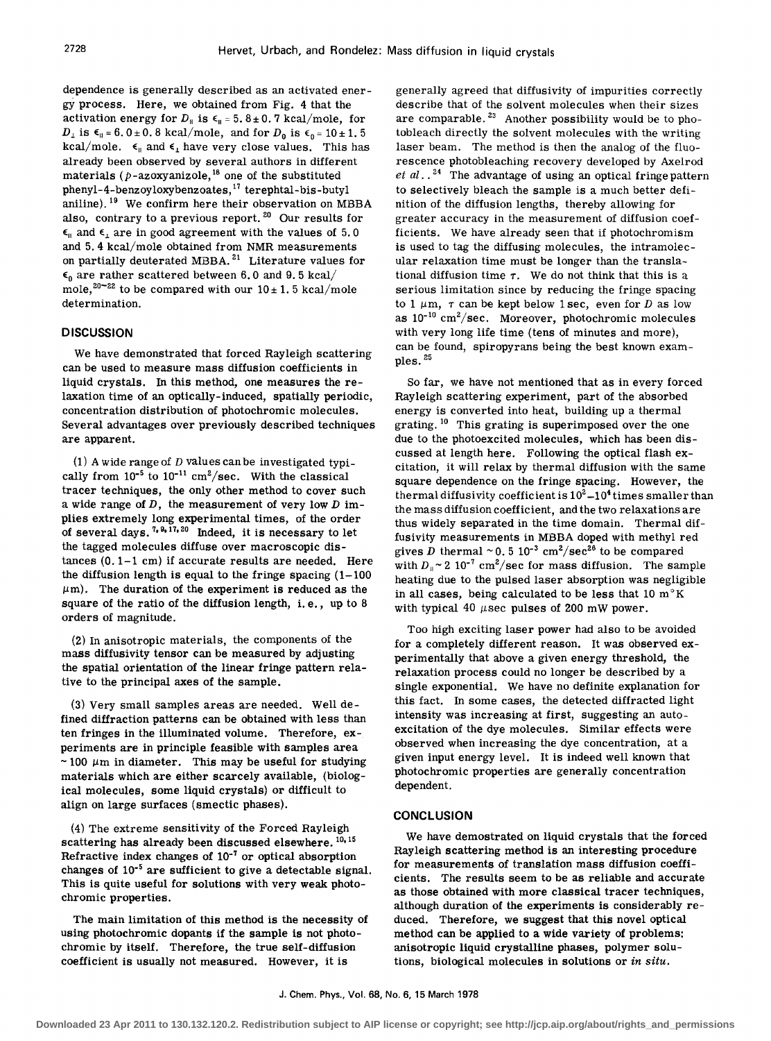dependence is generally described as an activated energy process. Here, we obtained from Fig. 4 that the activation energy for  $D_{\parallel}$  is  $\epsilon_{\parallel} = 5.8 \pm 0.7$  kcal/mole, for  $D_{\perp}$  is  $\epsilon_0 = 6.0 \pm 0.8$  kcal/mole, and for  $D_0$  is  $\epsilon_0 = 10 \pm 1.5$ kcal/mole.  $\epsilon_{\parallel}$  and  $\epsilon_{\perp}$  have very close values. This has already been observed by several authors in different materials ( $p$ -azoxyanizole,<sup>18</sup> one of the substituted phenyl-4-benzoyloxybenzoates,17 terephtal-bis-butyl aniline).<sup>19</sup> We confirm here their observation on MBBA also, contrary to a previous report.<sup>20</sup> Our results for  $\epsilon_{\parallel}$  and  $\epsilon_{\perp}$  are in good agreement with the values of 5.0 and 5.4 kcal/mole obtained from NMR measurements on partially deuterated MBBA.<sup>21</sup> Literature values for  $\epsilon_0$  are rather scattered between 6.0 and 9.5 kcal/ mole,<sup>20-22</sup> to be compared with our  $10 \pm 1.5$  kcal/mole determination.

## **DISCUSSION**

We have demonstrated that forced Rayleigh scattering can be used to measure mass diffusion coefficients in liquid crystals. In this method, one measures the relaxation time of an optically-induced, spatially periodic, concentration distribution of photochromic molecules. Several advantages over previously described techniques are apparent.

(1) A wide range of  $D$  values can be investigated typically from  $10^{-5}$  to  $10^{-11}$  cm<sup>2</sup>/sec. With the classical tracer techniques, the only other method to cover such a wide range of  $D$ , the measurement of very low  $D$  implies extremely long experimental times, of the order of several days.<sup>7,9,17,20</sup> Indeed, it is necessary to let the tagged molecules diffuse over macroscopic distances (0.1-1 cm) if accurate results are needed. Here the diffusion length is equal to the fringe spacing  $(1-100)$  $\mu$ m). The duration of the experiment is reduced as the square of the ratio of the diffusion length, i. e., up to 8 orders of magnitude.

(2) In anisotropic materials, the components of the mass diffusivity tensor can be measured by adjusting the spatial orientation of the linear fringe pattern relative to the principal axes of the sample.

(3) Very small samples areas are needed. Well defined diffraction patterns can be obtained with less than ten fringes in the illuminated volume. Therefore, experiments are in principle feasible with samples area ~ 100  $\mu$ m in diameter. This may be useful for studying materials which are either scarcely available, (biological molecules, some liquid crystals) or difficult to align on large surfaces (smectic phases).

(4) The extreme sensitivity of the Forced Rayleigh scattering has already been discussed elsewhere. 10, 15 Refractive index changes of  $10^{-7}$  or optical absorption changes of  $10^{-5}$  are sufficient to give a detectable signal. This is quite useful for solutions with very weak photochromic properties.

The main limitation of this method is the necessity of using photochromic dopants if the sample is not photochromic by itself. Therefore, the true self-diffusion coefficient is usually not measured. However, it is

generally agreed that diffusivity of impurities correctly describe that of the solvent molecules when their sizes are comparable.<sup>23</sup> Another possibility would be to photobleach directly the solvent molecules with the writing laser beam. The method is then the analog of the fluorescence photobleaching recovery developed by Axelrod et  $al.$  <sup>24</sup> The advantage of using an optical fringe pattern to selectively bleach the sample is a much better definition of the diffusion lengths, thereby allowing for greater accuracy in the measurement of diffusion coefficients. We have already seen that if photochromism is used to tag the diffusing molecules, the intramolecular relaxation time must be longer than the translational diffusion time  $\tau$ . We do not think that this is a serious limitation since by reducing the fringe spacing to 1  $\mu$ m,  $\tau$  can be kept below 1 sec, even for D as low as  $10^{-10}$  cm<sup>2</sup>/sec. Moreover, photochromic molecules with very long life time (tens of minutes and more), can be found, spiropyrans being the best known exampIes. 25

So far, we have not mentioned that as in every forced Rayleigh scattering experiment, part of the absorbed energy is converted into heat, building up a thermal grating.  $10$  This grating is superimposed over the one due to the photoexcited molecules, which has been discussed at length here. Following the optical flash excitation, it will relax by thermal diffusion with the same square dependence on the fringe spacing. However, the thermal diffusivity coefficient is  $10^2 - 10^4$  times smaller than the mass diffusion coefficient, and the two relaxations are thus widely separated in the time domain. Thermal diffusivity measurements in MBBA doped with methyl red gives D thermal  $\sim 0.5 \, 10^{-3} \, \text{cm}^2/\text{sec}^{26}$  to be compared with  $D_{\parallel} \sim 2 \; 10^{-7} \; \text{cm}^2/\text{sec}$  for mass diffusion. The sample heating due to the pulsed laser absorption was negligible in all cases, being calculated to be less that 10  $m<sup>o</sup>K$ with typical 40  $\mu$ sec pulses of 200 mW power.

Too high exciting laser power had also to be avoided for a completely different reason. It was observed experimentally that above a given energy threshold, the relaxation process could no longer be described by a single exponential. We have no definite explanation for this fact. In some cases, the detected diffracted light intensity was increasing at first, suggesting an autoexcitation of the dye molecules. Similar effects were observed when increasing the dye concentration, at a given input energy level. It is indeed well known that photochromic properties are generally concentration dependent.

#### **CONCLUSION**

We have demostrated on liquid crystals that the forced Rayleigh scattering method is an interesting procedure for measurements of translation mass diffusion coefficients. The results seem to be as reliable and accurate as those obtained with more classical tracer techniques, although duration of the experiments is considerably reduced. Therefore, we suggest that this novel optical method can be applied to a wide variety of problems: anisotropic liquid crystalline phases, polymer solutions, biological molecules in solutions or *in situ.*